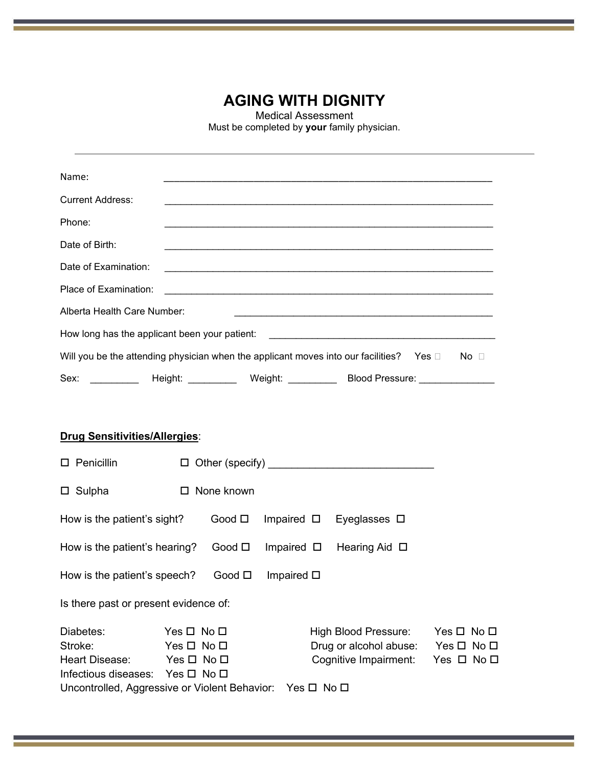## **AGING WITH DIGNITY**

Medical Assessment

Must be completed by **your** family physician.

| Name:                                                                                        |         |                                                                                                                        |                 |              |
|----------------------------------------------------------------------------------------------|---------|------------------------------------------------------------------------------------------------------------------------|-----------------|--------------|
| <b>Current Address:</b>                                                                      |         |                                                                                                                        |                 |              |
| Phone:                                                                                       |         | <u> 1989 - Johann Stoff, amerikansk politiker (d. 1989)</u>                                                            |                 |              |
| Date of Birth:                                                                               |         |                                                                                                                        |                 |              |
| Date of Examination:                                                                         |         | and the control of the control of the control of the control of the control of the control of the control of the       |                 |              |
| Place of Examination:                                                                        |         | <u> 1989 - Johann Barn, mars ann an t-Amhainn an t-Amhainn an t-Amhainn an t-Amhainn an t-Amhainn an t-Amhainn an </u> |                 |              |
| Alberta Health Care Number:                                                                  |         |                                                                                                                        |                 |              |
| How long has the applicant been your patient:                                                |         |                                                                                                                        |                 |              |
| Will you be the attending physician when the applicant moves into our facilities? Yes $\Box$ |         |                                                                                                                        |                 | No $\square$ |
| Sex:                                                                                         | Height: | Weight:                                                                                                                | Blood Pressure: |              |

### **Drug Sensitivities/Allergies**:

| Penicillin<br>0.                                                                          |                                                                | $\Box$ Other (specify) |                    |                                                                         |                                                                  |  |
|-------------------------------------------------------------------------------------------|----------------------------------------------------------------|------------------------|--------------------|-------------------------------------------------------------------------|------------------------------------------------------------------|--|
| $\Box$ Sulpha                                                                             | $\Box$                                                         | None known             |                    |                                                                         |                                                                  |  |
| How is the patient's sight?                                                               |                                                                | Good $\square$         | Impaired $\square$ | Eyeglasses $\square$                                                    |                                                                  |  |
| How is the patient's hearing?                                                             |                                                                | Good $\square$         | Impaired $\square$ | Hearing Aid $\Box$                                                      |                                                                  |  |
| How is the patient's speech?                                                              |                                                                | Good $\square$         | Impaired $\square$ |                                                                         |                                                                  |  |
| Is there past or present evidence of:                                                     |                                                                |                        |                    |                                                                         |                                                                  |  |
| Diabetes:<br>Stroke:<br>Heart Disease:<br>Infectious diseases: Yes $\square$ No $\square$ | $Yes \Box No \Box$<br>$Yes \Box No \Box$<br>$Yes \Box No \Box$ |                        |                    | High Blood Pressure:<br>Drug or alcohol abuse:<br>Cognitive Impairment: | $Yes \Box No \Box$<br>$Yes \Box No \Box$<br>Yes $\Box$ No $\Box$ |  |
| Uncontrolled, Aggressive or Violent Behavior:                                             |                                                                |                        | $Yes \Box No \Box$ |                                                                         |                                                                  |  |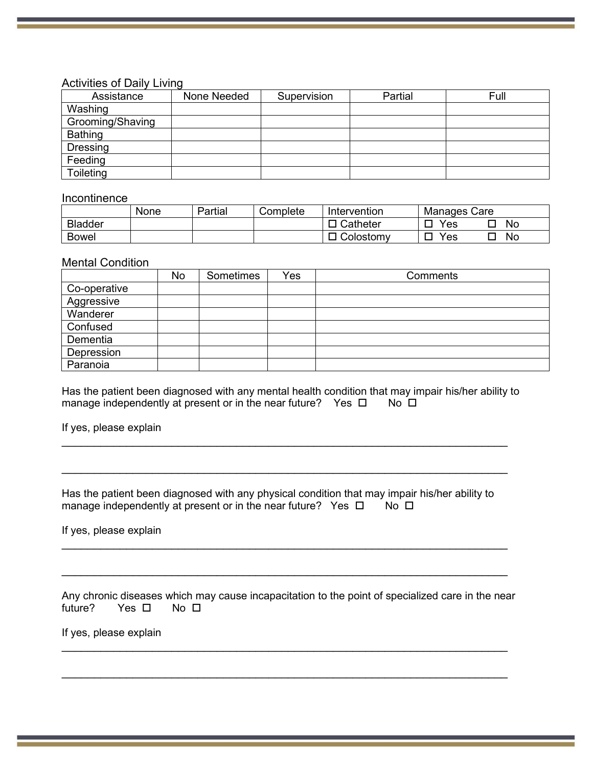#### Activities of Daily Living

| Assistance       | None Needed | Supervision | Partial | Full |
|------------------|-------------|-------------|---------|------|
| Washing          |             |             |         |      |
| Grooming/Shaving |             |             |         |      |
| <b>Bathing</b>   |             |             |         |      |
| Dressing         |             |             |         |      |
| Feeding          |             |             |         |      |
| Toileting        |             |             |         |      |

#### Incontinence

|                | None | Partial | Complete | Intervention | Manages Care |
|----------------|------|---------|----------|--------------|--------------|
| <b>Bladder</b> |      |         |          | Catheter     | No<br>Yes    |
| <b>Bowel</b>   |      |         |          | Colostomy    | Yes<br>No    |

#### Mental Condition

|              | No | Sometimes | Yes | Comments |
|--------------|----|-----------|-----|----------|
| Co-operative |    |           |     |          |
| Aggressive   |    |           |     |          |
| Wanderer     |    |           |     |          |
| Confused     |    |           |     |          |
| Dementia     |    |           |     |          |
| Depression   |    |           |     |          |
| Paranoia     |    |           |     |          |

Has the patient been diagnosed with any mental health condition that may impair his/her ability to manage independently at present or in the near future? Yes  $\Box$  No  $\Box$ manage independently at present or in the near future? Yes  $\Box$ 

\_\_\_\_\_\_\_\_\_\_\_\_\_\_\_\_\_\_\_\_\_\_\_\_\_\_\_\_\_\_\_\_\_\_\_\_\_\_\_\_\_\_\_\_\_\_\_\_\_\_\_\_\_\_\_\_\_\_\_\_\_\_\_\_\_\_\_\_\_

\_\_\_\_\_\_\_\_\_\_\_\_\_\_\_\_\_\_\_\_\_\_\_\_\_\_\_\_\_\_\_\_\_\_\_\_\_\_\_\_\_\_\_\_\_\_\_\_\_\_\_\_\_\_\_\_\_\_\_\_\_\_\_\_\_\_\_\_\_

If yes, please explain

Has the patient been diagnosed with any physical condition that may impair his/her ability to manage independently at present or in the near future? Yes  $\Box$  No  $\Box$ manage independently at present or in the near future? Yes  $\Box$ 

\_\_\_\_\_\_\_\_\_\_\_\_\_\_\_\_\_\_\_\_\_\_\_\_\_\_\_\_\_\_\_\_\_\_\_\_\_\_\_\_\_\_\_\_\_\_\_\_\_\_\_\_\_\_\_\_\_\_\_\_\_\_\_\_\_\_\_\_\_

\_\_\_\_\_\_\_\_\_\_\_\_\_\_\_\_\_\_\_\_\_\_\_\_\_\_\_\_\_\_\_\_\_\_\_\_\_\_\_\_\_\_\_\_\_\_\_\_\_\_\_\_\_\_\_\_\_\_\_\_\_\_\_\_\_\_\_\_\_

If yes, please explain

Any chronic diseases which may cause incapacitation to the point of specialized care in the near future? Yes  $\Box$  No  $\Box$ Yes  $\Box$ 

\_\_\_\_\_\_\_\_\_\_\_\_\_\_\_\_\_\_\_\_\_\_\_\_\_\_\_\_\_\_\_\_\_\_\_\_\_\_\_\_\_\_\_\_\_\_\_\_\_\_\_\_\_\_\_\_\_\_\_\_\_\_\_\_\_\_\_\_\_

\_\_\_\_\_\_\_\_\_\_\_\_\_\_\_\_\_\_\_\_\_\_\_\_\_\_\_\_\_\_\_\_\_\_\_\_\_\_\_\_\_\_\_\_\_\_\_\_\_\_\_\_\_\_\_\_\_\_\_\_\_\_\_\_\_\_\_\_\_

If yes, please explain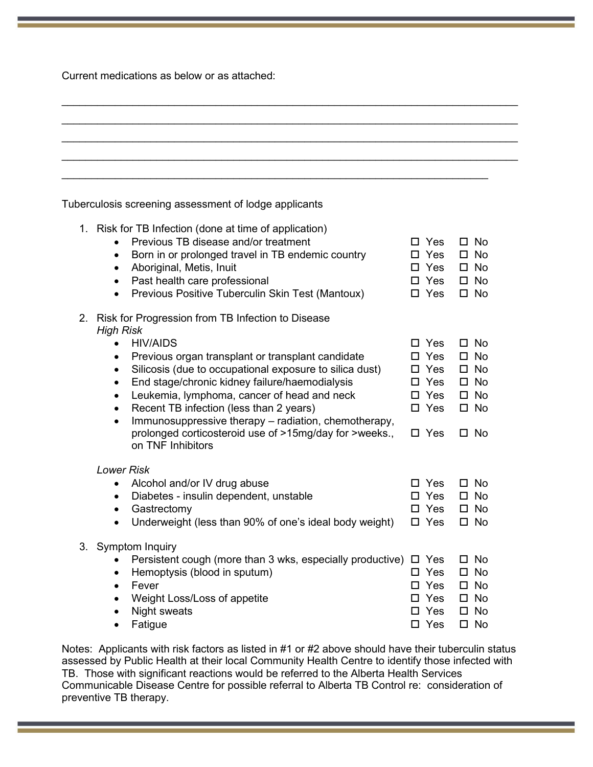Current medications as below or as attached:

| Tuberculosis screening assessment of lodge applicants                                      |               |     |    |              |
|--------------------------------------------------------------------------------------------|---------------|-----|----|--------------|
| 1. Risk for TB Infection (done at time of application)                                     |               |     |    |              |
| Previous TB disease and/or treatment<br>$\bullet$                                          | П             | Yes |    | $\Box$ No    |
| Born in or prolonged travel in TB endemic country<br>$\bullet$                             |               | Yes |    | $\square$ No |
| Aboriginal, Metis, Inuit<br>$\bullet$                                                      | $\Box$ Yes    |     |    | $\square$ No |
| Past health care professional<br>$\bullet$                                                 | $\Box$ Yes    |     |    | $\square$ No |
| Previous Positive Tuberculin Skin Test (Mantoux)<br>$\bullet$                              | $\Box$ Yes    |     |    | $\square$ No |
| Risk for Progression from TB Infection to Disease<br>2.                                    |               |     |    |              |
| <b>High Risk</b>                                                                           |               |     |    |              |
| <b>HIV/AIDS</b><br>$\bullet$                                                               | $\Box$ Yes    |     | П. | <b>No</b>    |
| Previous organ transplant or transplant candidate<br>$\bullet$                             | П             | Yes |    | $\square$ No |
| Silicosis (due to occupational exposure to silica dust)<br>$\bullet$                       | П             | Yes |    | $\square$ No |
| End stage/chronic kidney failure/haemodialysis<br>$\bullet$                                |               | Yes |    | $\square$ No |
| Leukemia, lymphoma, cancer of head and neck<br>$\bullet$                                   | $\Box$ Yes    |     |    | $\square$ No |
| Recent TB infection (less than 2 years)<br>$\bullet$                                       | $\Box$ Yes    |     |    | $\square$ No |
| Immunosuppressive therapy - radiation, chemotherapy,<br>$\bullet$                          |               |     |    |              |
| prolonged corticosteroid use of >15mg/day for >weeks.,                                     | $\Box$ Yes    |     |    | $\square$ No |
| on TNF Inhibitors                                                                          |               |     |    |              |
| <b>Lower Risk</b>                                                                          |               |     |    |              |
| Alcohol and/or IV drug abuse<br>٠                                                          |               | Yes | П. | No           |
| Diabetes - insulin dependent, unstable<br>$\bullet$                                        |               | Yes |    | $\square$ No |
| Gastrectomy<br>$\bullet$                                                                   |               | Yes |    | $\square$ No |
| Underweight (less than 90% of one's ideal body weight)<br>$\bullet$                        | □ Yes         |     |    | $\square$ No |
|                                                                                            |               |     |    |              |
| 3. Symptom Inquiry<br>Persistent cough (more than 3 wks, especially productive) $\Box$ Yes |               |     |    | No           |
| Hemoptysis (blood in sputum)<br>$\bullet$                                                  | $\square$ Yes |     | □  | $\square$ No |
| Fever<br>$\bullet$                                                                         | $\square$ Yes |     |    | $\square$ No |
| Weight Loss/Loss of appetite                                                               | $\square$ Yes |     |    | $\square$ No |
| <b>Night sweats</b>                                                                        | $\square$ Yes |     |    | $\square$ No |
| Fatigue                                                                                    | $\square$ Yes |     |    | $\square$ No |
|                                                                                            |               |     |    |              |

Notes: Applicants with risk factors as listed in #1 or #2 above should have their tuberculin status assessed by Public Health at their local Community Health Centre to identify those infected with TB. Those with significant reactions would be referred to the Alberta Health Services Communicable Disease Centre for possible referral to Alberta TB Control re: consideration of preventive TB therapy.